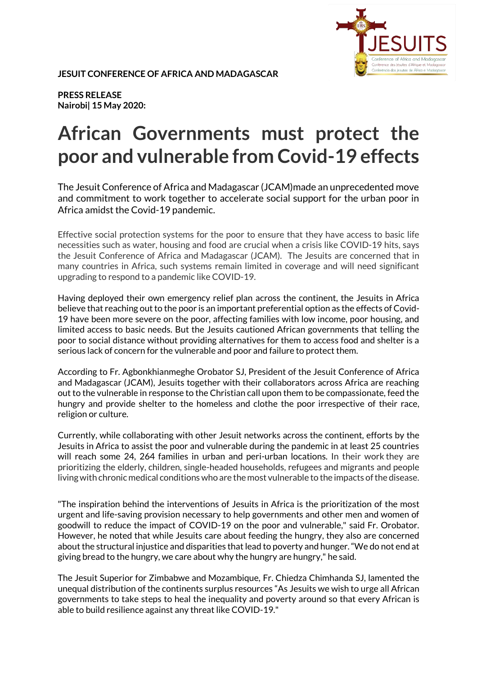

**JESUIT CONFERENCE OF AFRICA AND MADAGASCAR** 

**PRESS RELEASE Nairobi| 15 May 2020:** 

## **African Governments must protect the poor and vulnerable from Covid-19 effects**

The Jesuit Conference of Africa and Madagascar (JCAM)made an unprecedented move and commitment to work together to accelerate social support for the urban poor in Africa amidst the Covid-19 pandemic.

Effective social protection systems for the poor to ensure that they have access to basic life necessities such as water, housing and food are crucial when a crisis like COVID-19 hits, says the Jesuit Conference of Africa and Madagascar (JCAM). The Jesuits are concerned that in many countries in Africa, such systems remain limited in coverage and will need significant upgrading to respond to a pandemic like COVID-19.

Having deployed their own emergency relief plan across the continent, the Jesuits in Africa believe that reaching out to the poor is an important preferential option as the effects of Covid-19 have been more severe on the poor, affecting families with low income, poor housing, and limited access to basic needs. But the Jesuits cautioned African governments that telling the poor to social distance without providing alternatives for them to access food and shelter is a serious lack of concern for the vulnerable and poor and failure to protect them.

According to Fr. Agbonkhianmeghe Orobator SJ, President of the Jesuit Conference of Africa and Madagascar (JCAM), Jesuits together with their collaborators across Africa are reaching out to the vulnerable in response to the Christian call upon them to be compassionate, feed the hungry and provide shelter to the homeless and clothe the poor irrespective of their race, religion or culture.

Currently, while collaborating with other Jesuit networks across the continent, efforts by the Jesuits in Africa to assist the poor and vulnerable during the pandemic in at least 25 countries will reach some 24, 264 families in urban and peri-urban locations. In their work they are prioritizing the elderly, children, single-headed households, refugees and migrants and people living with chronic medical conditions who are the most vulnerable to the impacts of the disease.

"The inspiration behind the interventions of Jesuits in Africa is the prioritization of the most urgent and life-saving provision necessary to help governments and other men and women of goodwill to reduce the impact of COVID-19 on the poor and vulnerable," said Fr. Orobator. However, he noted that while Jesuits care about feeding the hungry, they also are concerned about the structural injustice and disparities that lead to poverty and hunger. "We do not end at giving bread to the hungry, we care about why the hungry are hungry," he said.

The Jesuit Superior for Zimbabwe and Mozambique, Fr. Chiedza Chimhanda SJ, lamented the unequal distribution of the continents surplus resources "As Jesuits we wish to urge all African governments to take steps to heal the inequality and poverty around so that every African is able to build resilience against any threat like COVID-19."